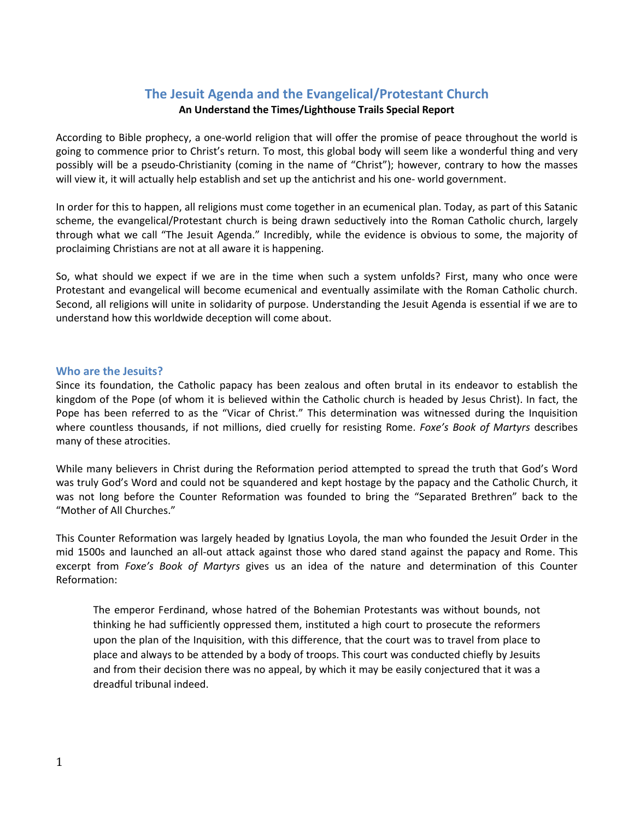# **The Jesuit Agenda and the Evangelical/Protestant Church**

# **An Understand the Times/Lighthouse Trails Special Report**

According to Bible prophecy, a one-world religion that will offer the promise of peace throughout the world is going to commence prior to Christ's return. To most, this global body will seem like a wonderful thing and very possibly will be a pseudo-Christianity (coming in the name of "Christ"); however, contrary to how the masses will view it, it will actually help establish and set up the antichrist and his one- world government.

In order for this to happen, all religions must come together in an ecumenical plan. Today, as part of this Satanic scheme, the evangelical/Protestant church is being drawn seductively into the Roman Catholic church, largely through what we call "The Jesuit Agenda." Incredibly, while the evidence is obvious to some, the majority of proclaiming Christians are not at all aware it is happening.

So, what should we expect if we are in the time when such a system unfolds? First, many who once were Protestant and evangelical will become ecumenical and eventually assimilate with the Roman Catholic church. Second, all religions will unite in solidarity of purpose. Understanding the Jesuit Agenda is essential if we are to understand how this worldwide deception will come about.

### **Who are the Jesuits?**

Since its foundation, the Catholic papacy has been zealous and often brutal in its endeavor to establish the kingdom of the Pope (of whom it is believed within the Catholic church is headed by Jesus Christ). In fact, the Pope has been referred to as the "Vicar of Christ." This determination was witnessed during the Inquisition where countless thousands, if not millions, died cruelly for resisting Rome. *Foxe's Book of Martyrs* describes many of these atrocities.

While many believers in Christ during the Reformation period attempted to spread the truth that God's Word was truly God's Word and could not be squandered and kept hostage by the papacy and the Catholic Church, it was not long before the Counter Reformation was founded to bring the "Separated Brethren" back to the "Mother of All Churches."

This Counter Reformation was largely headed by Ignatius Loyola, the man who founded the Jesuit Order in the mid 1500s and launched an all-out attack against those who dared stand against the papacy and Rome. This excerpt from *Foxe's Book of Martyrs* gives us an idea of the nature and determination of this Counter Reformation:

The emperor Ferdinand, whose hatred of the Bohemian Protestants was without bounds, not thinking he had sufficiently oppressed them, instituted a high court to prosecute the reformers upon the plan of the Inquisition, with this difference, that the court was to travel from place to place and always to be attended by a body of troops. This court was conducted chiefly by Jesuits and from their decision there was no appeal, by which it may be easily conjectured that it was a dreadful tribunal indeed.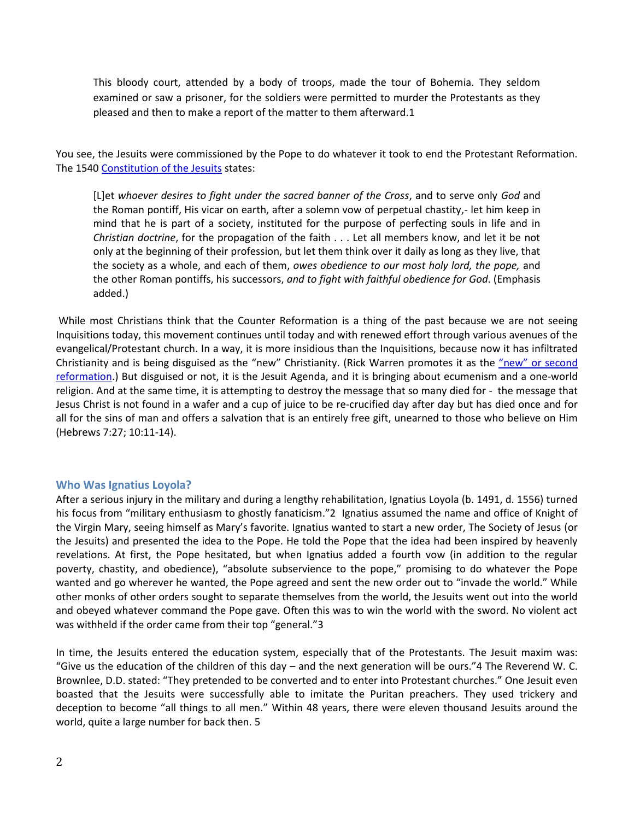This bloody court, attended by a body of troops, made the tour of Bohemia. They seldom examined or saw a prisoner, for the soldiers were permitted to murder the Protestants as they pleased and then to make a report of the matter to them afterward.1

You see, the Jesuits were commissioned by the Pope to do whatever it took to end the Protestant Reformation. The 1540 [Constitution of the Jesuits](http://www.bibliotecapleyades.net/vatican/esp_vatican13.htm) states:

[L]et *whoever desires to fight under the sacred banner of the Cross*, and to serve only *God* and the Roman pontiff, His vicar on earth, after a solemn vow of perpetual chastity,- let him keep in mind that he is part of a society, instituted for the purpose of perfecting souls in life and in *Christian doctrine*, for the propagation of the faith . . . Let all members know, and let it be not only at the beginning of their profession, but let them think over it daily as long as they live, that the society as a whole, and each of them, *owes obedience to our most holy lord, the pope,* and the other Roman pontiffs, his successors, *and to fight with faithful obedience for God*. (Emphasis added.)

While most Christians think that the Counter Reformation is a thing of the past because we are not seeing Inquisitions today, this movement continues until today and with renewed effort through various avenues of the evangelical/Protestant church. In a way, it is more insidious than the Inquisitions, because now it has infiltrated Christianity and is being disguised as the "new" Christianity. (Rick Warren promotes it as the "new" or second [reformation.](http://www.lighthousetrailsresearch.com/rw2ndreformation.htm)) But disguised or not, it is the Jesuit Agenda, and it is bringing about ecumenism and a one-world religion. And at the same time, it is attempting to destroy the message that so many died for - the message that Jesus Christ is not found in a wafer and a cup of juice to be re-crucified day after day but has died once and for all for the sins of man and offers a salvation that is an entirely free gift, unearned to those who believe on Him (Hebrews 7:27; 10:11-14).

#### **Who Was Ignatius Loyola?**

After a serious injury in the military and during a lengthy rehabilitation, Ignatius Loyola (b. 1491, d. 1556) turned his focus from "military enthusiasm to ghostly fanaticism."2 Ignatius assumed the name and office of Knight of the Virgin Mary, seeing himself as Mary's favorite. Ignatius wanted to start a new order, The Society of Jesus (or the Jesuits) and presented the idea to the Pope. He told the Pope that the idea had been inspired by heavenly revelations. At first, the Pope hesitated, but when Ignatius added a fourth vow (in addition to the regular poverty, chastity, and obedience), "absolute subservience to the pope," promising to do whatever the Pope wanted and go wherever he wanted, the Pope agreed and sent the new order out to "invade the world." While other monks of other orders sought to separate themselves from the world, the Jesuits went out into the world and obeyed whatever command the Pope gave. Often this was to win the world with the sword. No violent act was withheld if the order came from their top "general."3

In time, the Jesuits entered the education system, especially that of the Protestants. The Jesuit maxim was: "Give us the education of the children of this day – and the next generation will be ours."4 The Reverend W. C. Brownlee, D.D. stated: "They pretended to be converted and to enter into Protestant churches." One Jesuit even boasted that the Jesuits were successfully able to imitate the Puritan preachers. They used trickery and deception to become "all things to all men." Within 48 years, there were eleven thousand Jesuits around the world, quite a large number for back then. 5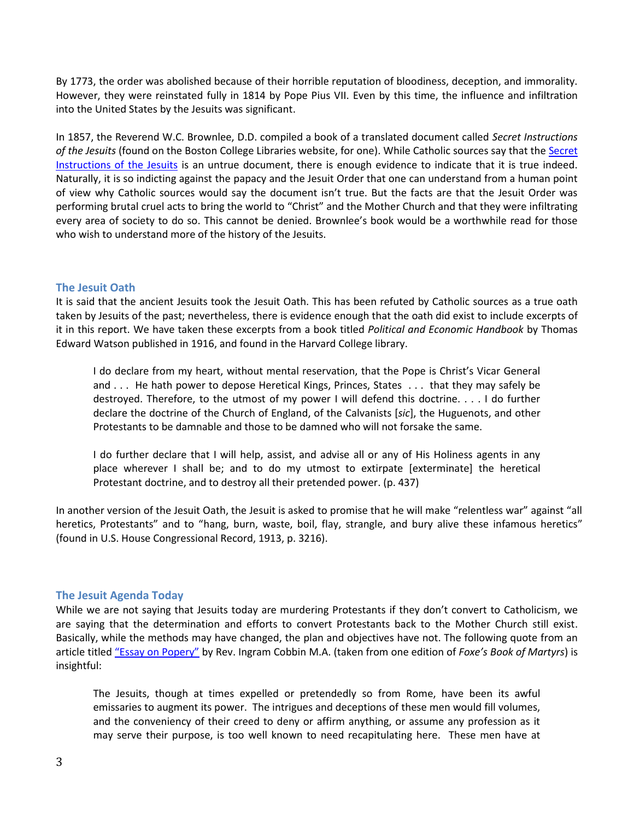By 1773, the order was abolished because of their horrible reputation of bloodiness, deception, and immorality. However, they were reinstated fully in 1814 by Pope Pius VII. Even by this time, the influence and infiltration into the United States by the Jesuits was significant.

In 1857, the Reverend W.C. Brownlee, D.D. compiled a book of a translated document called *Secret Instructions of the Jesuits* (found on the Boston College Libraries website, for one). While Catholic sources say that the [Secret](http://www.archive.org/details/secretinstructio00brow)  [Instructions of the Jesuits](http://www.archive.org/details/secretinstructio00brow) is an untrue document, there is enough evidence to indicate that it is true indeed. Naturally, it is so indicting against the papacy and the Jesuit Order that one can understand from a human point of view why Catholic sources would say the document isn't true. But the facts are that the Jesuit Order was performing brutal cruel acts to bring the world to "Christ" and the Mother Church and that they were infiltrating every area of society to do so. This cannot be denied. Brownlee's book would be a worthwhile read for those who wish to understand more of the history of the Jesuits.

## **The Jesuit Oath**

It is said that the ancient Jesuits took the Jesuit Oath. This has been refuted by Catholic sources as a true oath taken by Jesuits of the past; nevertheless, there is evidence enough that the oath did exist to include excerpts of it in this report. We have taken these excerpts from a book titled *Political and Economic Handbook* by Thomas Edward Watson published in 1916, and found in the Harvard College library.

I do declare from my heart, without mental reservation, that the Pope is Christ's Vicar General and . . . He hath power to depose Heretical Kings, Princes, States . . . that they may safely be destroyed. Therefore, to the utmost of my power I will defend this doctrine. . . . I do further declare the doctrine of the Church of England, of the Calvanists [*sic*], the Huguenots, and other Protestants to be damnable and those to be damned who will not forsake the same.

I do further declare that I will help, assist, and advise all or any of His Holiness agents in any place wherever I shall be; and to do my utmost to extirpate [exterminate] the heretical Protestant doctrine, and to destroy all their pretended power. (p. 437)

In another version of the Jesuit Oath, the Jesuit is asked to promise that he will make "relentless war" against "all heretics, Protestants" and to "hang, burn, waste, boil, flay, strangle, and bury alive these infamous heretics" (found in U.S. House Congressional Record, 1913, p. 3216).

## **The Jesuit Agenda Today**

While we are not saying that Jesuits today are murdering Protestants if they don't convert to Catholicism, we are saying that the determination and efforts to convert Protestants back to the Mother Church still exist. Basically, while the methods may have changed, the plan and objectives have not. The following quote from an article titled "[Essay on Popery](http://books.google.com/books?id=t1pIAAAAYAAJ&pg=PR7&lpg=PR7&dq=%E2%80%9CEssay+on+Popery%E2%80%9D&source=bl&ots=t7kaVIBDLh&sig=tNI07c7exFJlVR2e2E1SsgGsFn0&hl=en&ei=eBMbTsTZJefmiAL6vM3SBQ&sa=X&oi=book_result&ct=result&resnum=4&ved=0CDEQ6AEwAw#v=onepage&q=%E)" by Rev. Ingram Cobbin M.A. (taken from one edition of *Foxe's Book of Martyrs*) is insightful:

The Jesuits, though at times expelled or pretendedly so from Rome, have been its awful emissaries to augment its power. The intrigues and deceptions of these men would fill volumes, and the conveniency of their creed to deny or affirm anything, or assume any profession as it may serve their purpose, is too well known to need recapitulating here. These men have at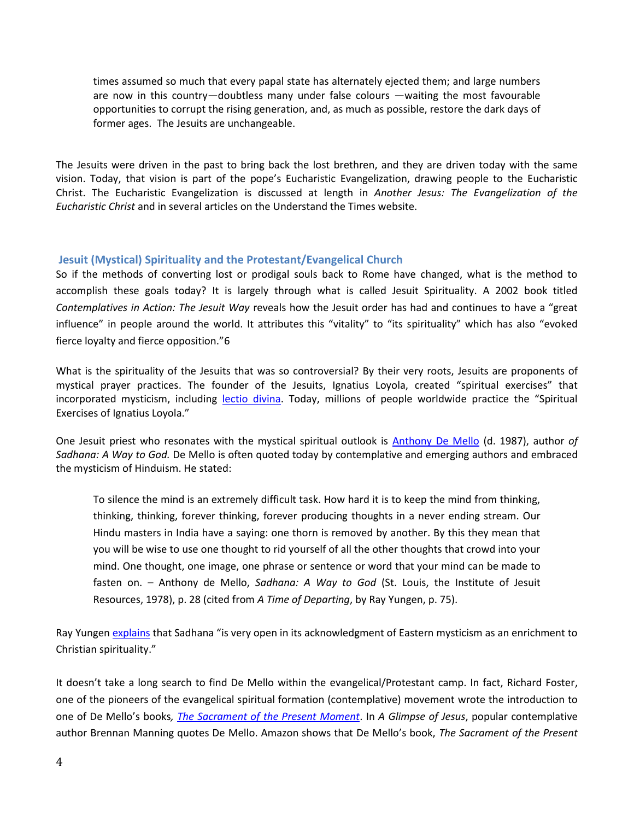times assumed so much that every papal state has alternately ejected them; and large numbers are now in this country—doubtless many under false colours —waiting the most favourable opportunities to corrupt the rising generation, and, as much as possible, restore the dark days of former ages. The Jesuits are unchangeable.

The Jesuits were driven in the past to bring back the lost brethren, and they are driven today with the same vision. Today, that vision is part of the pope's Eucharistic Evangelization, drawing people to the Eucharistic Christ. The Eucharistic Evangelization is discussed at length in *Another Jesus: The Evangelization of the Eucharistic Christ* and in several articles on the Understand the Times website.

# **Jesuit (Mystical) Spirituality and the Protestant/Evangelical Church**

So if the methods of converting lost or prodigal souls back to Rome have changed, what is the method to accomplish these goals today? It is largely through what is called Jesuit Spirituality. A 2002 book titled *Contemplatives in Action: The Jesuit Way* reveals how the Jesuit order has had and continues to have a "great influence" in people around the world. It attributes this "vitality" to "its spirituality" which has also "evoked fierce loyalty and fierce opposition."6

What is the spirituality of the Jesuits that was so controversial? By their very roots, Jesuits are proponents of mystical prayer practices. The founder of the Jesuits, Ignatius Loyola, created "spiritual exercises" that incorporated mysticism, including [lectio divina.](http://www.lighthousetrailsresearch.com/blog/?p=953) Today, millions of people worldwide practice the "Spiritual Exercises of Ignatius Loyola."

One Jesuit priest who resonates with the mystical spiritual outlook is [Anthony De Mello](http://www.lighthousetrailsresearch.com/newagereligionray.htm) (d. 1987), author *of Sadhana: A Way to God.* De Mello is often quoted today by contemplative and emerging authors and embraced the mysticism of Hinduism. He stated:

To silence the mind is an extremely difficult task. How hard it is to keep the mind from thinking, thinking, thinking, forever thinking, forever producing thoughts in a never ending stream. Our Hindu masters in India have a saying: one thorn is removed by another. By this they mean that you will be wise to use one thought to rid yourself of all the other thoughts that crowd into your mind. One thought, one image, one phrase or sentence or word that your mind can be made to fasten on. – Anthony de Mello, *Sadhana: A Way to God* (St. Louis, the Institute of Jesuit Resources, 1978), p. 28 (cited from *A Time of Departing*, by Ray Yungen, p. 75).

Ray Yunge[n explains](http://www.lighthousetrailsresearch.com/newagereligionray.htm) that Sadhana "is very open in its acknowledgment of Eastern mysticism as an enrichment to Christian spirituality."

It doesn't take a long search to find De Mello within the evangelical/Protestant camp. In fact, Richard Foster, one of the pioneers of the evangelical spiritual formation (contemplative) movement wrote the introduction to one of De Mello's books*, [The Sacrament of the Present Moment](http://www.amazon.com/Sacrament-Present-Moment-Jean-Pierre-Caussade/dp/0060618116/ref=sr_1_2?s=books&ie=UTF8&qid=1309528479&sr=1-2#_)*. In *A Glimpse of Jesus*, popular contemplative author Brennan Manning quotes De Mello. Amazon shows that De Mello's book, *The Sacrament of the Present*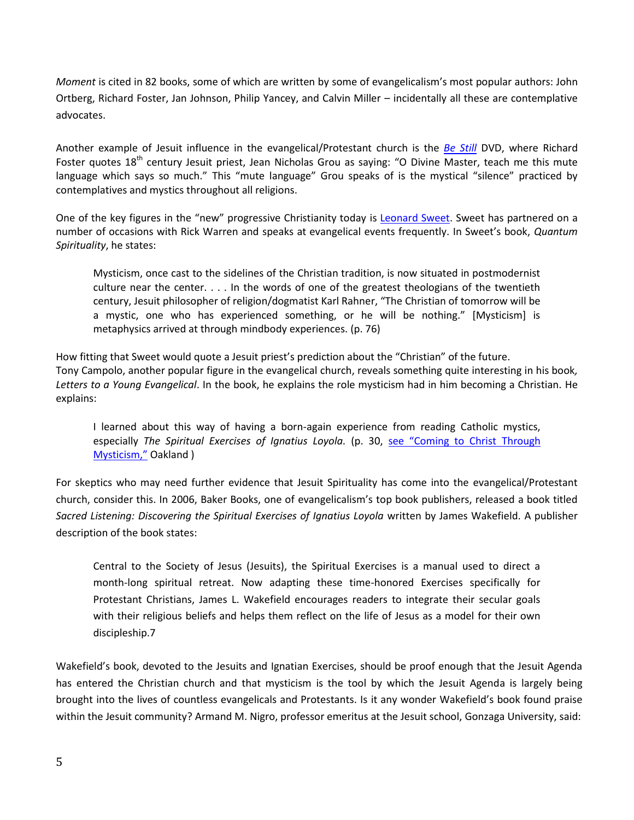*Moment* is cited in 82 books, some of which are written by some of evangelicalism's most popular authors: John Ortberg, Richard Foster, Jan Johnson, Philip Yancey, and Calvin Miller – incidentally all these are contemplative advocates.

Another example of Jesuit influence in the evangelical/Protestant church is the *[Be Still](http://www.lighthousetrailsresearch.com/bestilldvd.htm)* DVD, where Richard Foster quotes  $18<sup>th</sup>$  century Jesuit priest, Jean Nicholas Grou as saying: "O Divine Master, teach me this mute language which says so much." This "mute language" Grou speaks of is the mystical "silence" practiced by contemplatives and mystics throughout all religions.

One of the key figures in the "new" progressive Christianity today is [Leonard Sweet.](http://www.lighthousetrailsresearch.com/blog/?p=6146) Sweet has partnered on a number of occasions with Rick Warren and speaks at evangelical events frequently. In Sweet's book, *Quantum Spirituality*, he states:

Mysticism, once cast to the sidelines of the Christian tradition, is now situated in postmodernist culture near the center. . . . In the words of one of the greatest theologians of the twentieth century, Jesuit philosopher of religion/dogmatist Karl Rahner, "The Christian of tomorrow will be a mystic, one who has experienced something, or he will be nothing." [Mysticism] is metaphysics arrived at through mindbody experiences. (p. 76)

How fitting that Sweet would quote a Jesuit priest's prediction about the "Christian" of the future. Tony Campolo, another popular figure in the evangelical church, reveals something quite interesting in his book*, Letters to a Young Evangelical*. In the book, he explains the role mysticism had in him becoming a Christian. He explains:

I learned about this way of having a born-again experience from reading Catholic mystics, especially *The Spiritual Exercises of Ignatius Loyola.* (p. 30, [see "Coming to Christ](http://www.lighthousetrailsresearch.com/blog/?p=757) Through [Mysticism,"](http://www.lighthousetrailsresearch.com/blog/?p=757) Oakland)

For skeptics who may need further evidence that Jesuit Spirituality has come into the evangelical/Protestant church, consider this. In 2006, Baker Books, one of evangelicalism's top book publishers, released a book titled *Sacred Listening: Discovering the Spiritual Exercises of Ignatius Loyola* written by James Wakefield. A publisher description of the book states:

Central to the Society of Jesus (Jesuits), the Spiritual Exercises is a manual used to direct a month-long spiritual retreat. Now adapting these time-honored Exercises specifically for Protestant Christians, James L. Wakefield encourages readers to integrate their secular goals with their religious beliefs and helps them reflect on the life of Jesus as a model for their own discipleship.7

Wakefield's book, devoted to the Jesuits and Ignatian Exercises, should be proof enough that the Jesuit Agenda has entered the Christian church and that mysticism is the tool by which the Jesuit Agenda is largely being brought into the lives of countless evangelicals and Protestants. Is it any wonder Wakefield's book found praise within the Jesuit community? Armand M. Nigro, professor emeritus at the Jesuit school, Gonzaga University, said: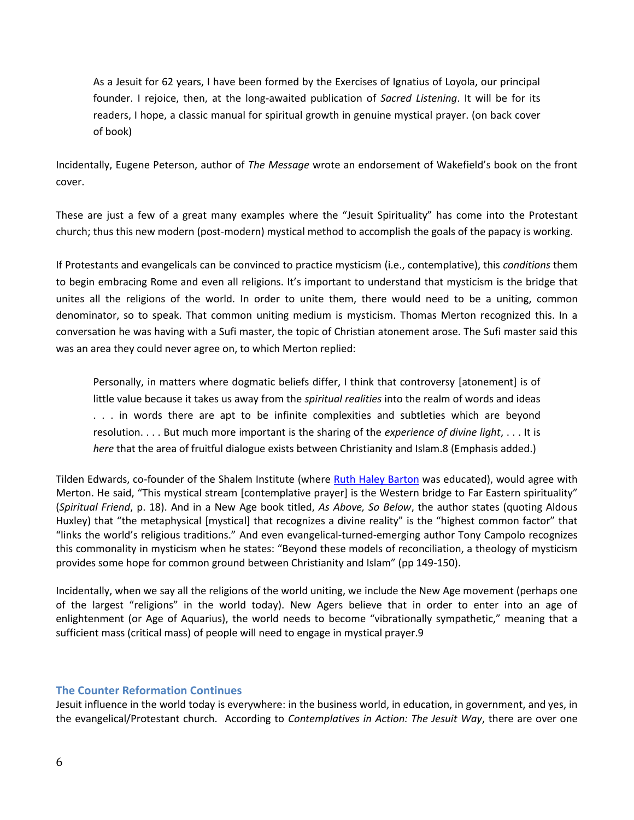As a Jesuit for 62 years, I have been formed by the Exercises of Ignatius of Loyola, our principal founder. I rejoice, then, at the long-awaited publication of *Sacred Listening*. It will be for its readers, I hope, a classic manual for spiritual growth in genuine mystical prayer. (on back cover of book)

Incidentally, Eugene Peterson, author of *The Message* wrote an endorsement of Wakefield's book on the front cover.

These are just a few of a great many examples where the "Jesuit Spirituality" has come into the Protestant church; thus this new modern (post-modern) mystical method to accomplish the goals of the papacy is working.

If Protestants and evangelicals can be convinced to practice mysticism (i.e., contemplative), this *conditions* them to begin embracing Rome and even all religions. It's important to understand that mysticism is the bridge that unites all the religions of the world. In order to unite them, there would need to be a uniting, common denominator, so to speak. That common uniting medium is mysticism. Thomas Merton recognized this. In a conversation he was having with a Sufi master, the topic of Christian atonement arose. The Sufi master said this was an area they could never agree on, to which Merton replied:

Personally, in matters where dogmatic beliefs differ, I think that controversy [atonement] is of little value because it takes us away from the *spiritual realities* into the realm of words and ideas . . . in words there are apt to be infinite complexities and subtleties which are beyond resolution. . . . But much more important is the sharing of the *experience of divine light*, . . . It is *here* that the area of fruitful dialogue exists between Christianity and Islam.8 (Emphasis added.)

Tilden Edwards, co-founder of the Shalem Institute (where [Ruth Haley Barton](http://www.lighthousetrailsresearch.com/ruthhaleybarton.htm) was educated), would agree with Merton. He said, "This mystical stream [contemplative prayer] is the Western bridge to Far Eastern spirituality" (*Spiritual Friend*, p. 18). And in a New Age book titled, *As Above, So Below*, the author states (quoting Aldous Huxley) that "the metaphysical [mystical] that recognizes a divine reality" is the "highest common factor" that "links the world's religious traditions." And even evangelical-turned-emerging author Tony Campolo recognizes this commonality in mysticism when he states: "Beyond these models of reconciliation, a theology of mysticism provides some hope for common ground between Christianity and Islam" (pp 149-150).

Incidentally, when we say all the religions of the world uniting, we include the New Age movement (perhaps one of the largest "religions" in the world today). New Agers believe that in order to enter into an age of enlightenment (or Age of Aquarius), the world needs to become "vibrationally sympathetic," meaning that a sufficient mass (critical mass) of people will need to engage in mystical prayer.9

# **The Counter Reformation Continues**

Jesuit influence in the world today is everywhere: in the business world, in education, in government, and yes, in the evangelical/Protestant church. According to *Contemplatives in Action: The Jesuit Way*, there are over one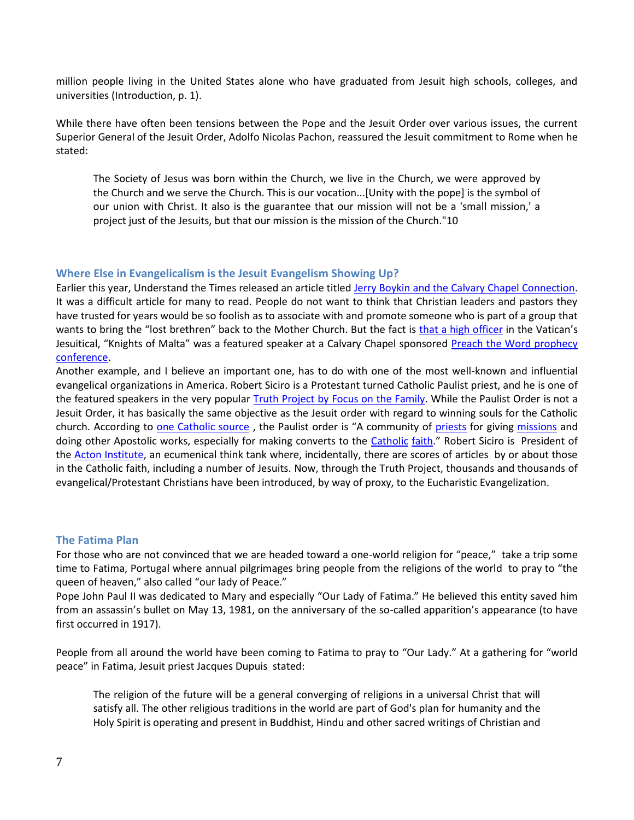million people living in the United States alone who have graduated from Jesuit high schools, colleges, and universities (Introduction, p. 1).

While there have often been tensions between the Pope and the Jesuit Order over various issues, the current Superior General of the Jesuit Order, Adolfo Nicolas Pachon, reassured the Jesuit commitment to Rome when he stated:

The Society of Jesus was born within the Church, we live in the Church, we were approved by the Church and we serve the Church. This is our vocation...[Unity with the pope] is the symbol of our union with Christ. It also is the guarantee that our mission will not be a 'small mission,' a project just of the Jesuits, but that our mission is the mission of the Church."10

## **Where Else in Evangelicalism is the Jesuit Evangelism Showing Up?**

Earlier this year, Understand the Times released an article titled [Jerry Boykin and the Calvary Chapel Connection.](http://www.understandthetimes.org/commentary/c96.shtml) It was a difficult article for many to read. People do not want to think that Christian leaders and pastors they have trusted for years would be so foolish as to associate with and promote someone who is part of a group that wants to bring the "lost brethren" back to the Mother Church. But the fact is that [a high officer](http://www.theknightshospitallers.org/organization.php) in the Vatican's Jesuitical, "Knights of Malta" was a featured speaker at a Calvary Chapel sponsored Preach the Word prophecy [conference.](http://www.harvest.org/ptw/general-information/fact-sheet.html)

Another example, and I believe an important one, has to do with one of the most well-known and influential evangelical organizations in America. Robert Siciro is a Protestant turned Catholic Paulist priest, and he is one of the featured speakers in the very popular [Truth Project by Focus on the Family.](http://www.thetruthproject.org/about/culturefocus/A000000356.cfm) While the Paulist Order is not a Jesuit Order, it has basically the same objective as the Jesuit order with regard to winning souls for the Catholic church. According to [one Catholic source](http://www.newadvent.org/cathen/10368c.htm), the Paulist order is "A community of [priests](http://www.newadvent.org/cathen/12406a.htm) for giving [missions](http://www.newadvent.org/cathen/10391a.htm) and doing other Apostolic works, especially for making converts to the [Catholic](http://www.newadvent.org/cathen/03449a.htm) [faith](http://www.newadvent.org/cathen/05752c.htm)." Robert Siciro is President of the [Acton Institute,](http://www.acton.org/about/board-directors) an ecumenical think tank where, incidentally, there are scores of articles by or about those in the Catholic faith, including a number of Jesuits. Now, through the Truth Project, thousands and thousands of evangelical/Protestant Christians have been introduced, by way of proxy, to the Eucharistic Evangelization.

#### **The Fatima Plan**

For those who are not convinced that we are headed toward a one-world religion for "peace," take a trip some time to Fatima, Portugal where annual pilgrimages bring people from the religions of the world to pray to "the queen of heaven," also called "our lady of Peace."

Pope John Paul II was dedicated to Mary and especially "Our Lady of Fatima." He believed this entity saved him from an assassin's bullet on May 13, 1981, on the anniversary of the so-called apparition's appearance (to have first occurred in 1917).

People from all around the world have been coming to Fatima to pray to "Our Lady." At a gathering for "world peace" in Fatima, Jesuit priest Jacques Dupuis stated:

The religion of the future will be a general converging of religions in a universal Christ that will satisfy all. The other religious traditions in the world are part of God's plan for humanity and the Holy Spirit is operating and present in Buddhist, Hindu and other sacred writings of Christian and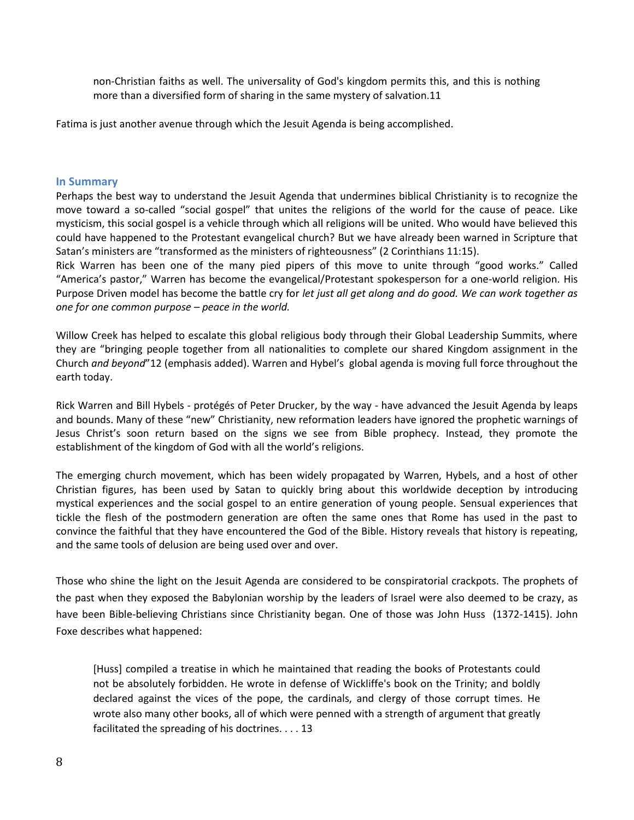non-Christian faiths as well. The universality of God's kingdom permits this, and this is nothing more than a diversified form of sharing in the same mystery of salvation.11

Fatima is just another avenue through which the Jesuit Agenda is being accomplished.

#### **In Summary**

Perhaps the best way to understand the Jesuit Agenda that undermines biblical Christianity is to recognize the move toward a so-called "social gospel" that unites the religions of the world for the cause of peace. Like mysticism, this social gospel is a vehicle through which all religions will be united. Who would have believed this could have happened to the Protestant evangelical church? But we have already been warned in Scripture that Satan's ministers are "transformed as the ministers of righteousness" (2 Corinthians 11:15).

Rick Warren has been one of the many pied pipers of this move to unite through "good works." Called "America's pastor," Warren has become the evangelical/Protestant spokesperson for a one-world religion. His Purpose Driven model has become the battle cry for *let just all get along and do good. We can work together as one for one common purpose – peace in the world.*

Willow Creek has helped to escalate this global religious body through their Global Leadership Summits, where they are "bringing people together from all nationalities to complete our shared Kingdom assignment in the Church *and beyond*"12 (emphasis added). Warren and Hybel's global agenda is moving full force throughout the earth today.

Rick Warren and Bill Hybels - protégés of Peter Drucker, by the way - have advanced the Jesuit Agenda by leaps and bounds. Many of these "new" Christianity, new reformation leaders have ignored the prophetic warnings of Jesus Christ's soon return based on the signs we see from Bible prophecy. Instead, they promote the establishment of the kingdom of God with all the world's religions.

The emerging church movement, which has been widely propagated by Warren, Hybels, and a host of other Christian figures, has been used by Satan to quickly bring about this worldwide deception by introducing mystical experiences and the social gospel to an entire generation of young people. Sensual experiences that tickle the flesh of the postmodern generation are often the same ones that Rome has used in the past to convince the faithful that they have encountered the God of the Bible. History reveals that history is repeating, and the same tools of delusion are being used over and over.

Those who shine the light on the Jesuit Agenda are considered to be conspiratorial crackpots. The prophets of the past when they exposed the Babylonian worship by the leaders of Israel were also deemed to be crazy, as have been Bible-believing Christians since Christianity began. One of those was John Huss (1372-1415). John Foxe describes what happened:

[Huss] compiled a treatise in which he maintained that reading the books of Protestants could not be absolutely forbidden. He wrote in defense of Wickliffe's book on the Trinity; and boldly declared against the vices of the pope, the cardinals, and clergy of those corrupt times. He wrote also many other books, all of which were penned with a strength of argument that greatly facilitated the spreading of his doctrines. . . . 13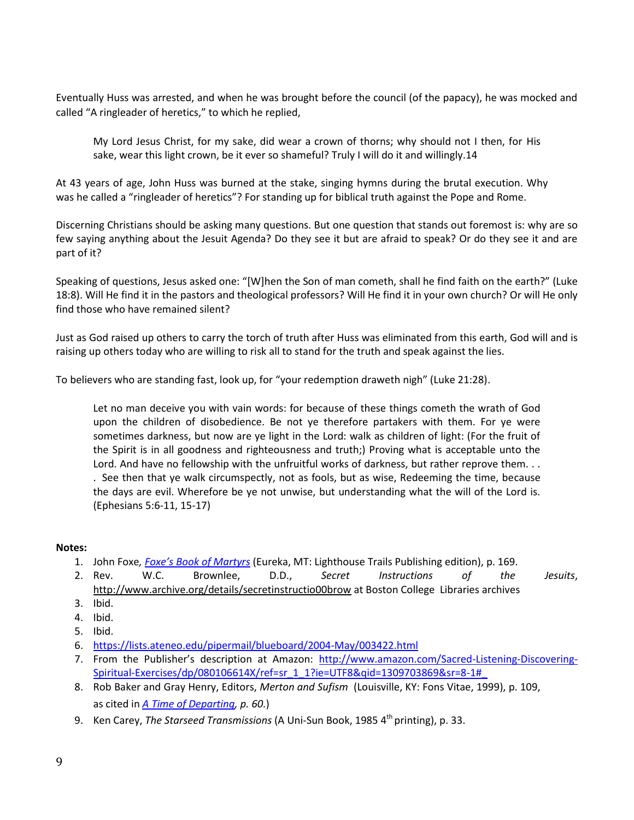Eventually Huss was arrested, and when he was brought before the council (of the papacy), he was mocked and called "A ringleader of heretics," to which he replied,

My Lord Jesus Christ, for my sake, did wear a crown of thorns; why should not I then, for His sake, wear this light crown, be it ever so shameful? Truly I will do it and willingly.14

At 43 years of age, John Huss was burned at the stake, singing hymns during the brutal execution. Why was he called a "ringleader of heretics"? For standing up for biblical truth against the Pope and Rome.

Discerning Christians should be asking many questions. But one question that stands out foremost is: why are so few saying anything about the Jesuit Agenda? Do they see it but are afraid to speak? Or do they see it and are part of it?

Speaking of questions, Jesus asked one: "[W]hen the Son of man cometh, shall he find faith on the earth?" (Luke 18:8). Will He find it in the pastors and theological professors? Will He find it in your own church? Or will He only find those who have remained silent?

Just as God raised up others to carry the torch of truth after Huss was eliminated from this earth, God will and is raising up others today who are willing to risk all to stand for the truth and speak against the lies.

To believers who are standing fast, look up, for "your redemption draweth nigh" (Luke 21:28).

Let no man deceive you with vain words: for because of these things cometh the wrath of God upon the children of disobedience. Be not ye therefore partakers with them. For ye were sometimes darkness, but now are ye light in the Lord: walk as children of light: (For the fruit of the Spirit is in all goodness and righteousness and truth;) Proving what is acceptable unto the Lord. And have no fellowship with the unfruitful works of darkness, but rather reprove them... . See then that ye walk circumspectly, not as fools, but as wise, Redeeming the time, because the days are evil. Wherefore be ye not unwise, but understanding what the will of the Lord is. (Ephesians 5:6-11, 15-17)

## **Notes:**

- 1. John Foxe*, [Foxe's Book of Martyrs](http://www.lighthousetrails.com/mm5/merchant.mvc?Screen=PROD&Store_Code=LTP&Product_Code=FX&Category_Code=PC)* (Eureka, MT: Lighthouse Trails Publishing edition), p. 169.
- 2. Rev. W.C. Brownlee, D.D., *Secret Instructions of the Jesuits*, <http://www.archive.org/details/secretinstructio00brow> at Boston College Libraries archives
- 3. Ibid.
- 4. Ibid.
- 5. Ibid.
- 6. <https://lists.ateneo.edu/pipermail/blueboard/2004-May/003422.html>
- 7. From the Publisher's description at Amazon: [http://www.amazon.com/Sacred-Listening-Discovering-](http://www.amazon.com/Sacred-Listening-Discovering-Spiritual-Exercises/dp/080106614X/ref=sr_1_1?ie=UTF8&qid=1309703869&sr=8-1#_)[Spiritual-Exercises/dp/080106614X/ref=sr\\_1\\_1?ie=UTF8&qid=1309703869&sr=8-1#\\_](http://www.amazon.com/Sacred-Listening-Discovering-Spiritual-Exercises/dp/080106614X/ref=sr_1_1?ie=UTF8&qid=1309703869&sr=8-1#_)
- 8. Rob Baker and Gray Henry, Editors, *Merton and Sufism* (Louisville, KY: Fons Vitae, 1999), p. 109, as cited in *[A Time of Departing,](http://www.lighthousetrails.com/mm5/merchant.mvc?Screen=PROD&Store_Code=LTP&Product_Code=ATOD&Category_Code=BS) p. 60.*)
- 9. Ken Carey, *The Starseed Transmissions* (A Uni-Sun Book, 1985 4th printing), p. 33.